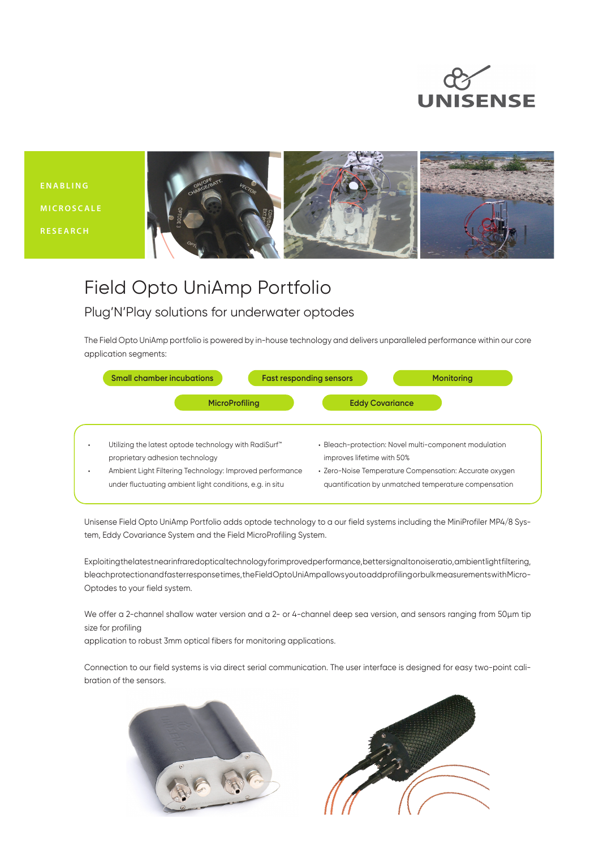

**E N A B L I N G MICROSCALE RESEARCH**



## Field Opto UniAmp Portfolio

## Plug'N'Play solutions for underwater optodes

The Field Opto UniAmp portfolio is powered by in-house technology and delivers unparalleled performance within our core application segments:



Unisense Field Opto UniAmp Portfolio adds optode technology to a our field systems including the MiniProfiler MP4/8 System, Eddy Covariance System and the Field MicroProfiling System.

Exploiting the latest near infrared optical technology for improved performance, better signal to noise ratio, ambient light filtering, bleach protection and faster response times, the Field Opto UniAmp allows you to add profiling or bulk measurements with Micro-Optodes to your field system.

We offer a 2-channel shallow water version and a 2- or 4-channel deep sea version, and sensors ranging from 50µm tip size for profiling

application to robust 3mm optical fibers for monitoring applications.

Connection to our field systems is via direct serial communication. The user interface is designed for easy two-point calibration of the sensors.